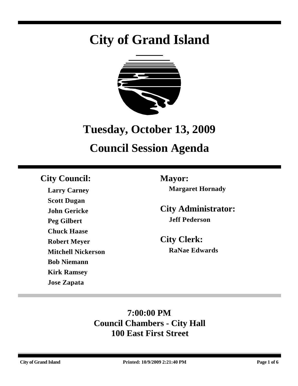# **City of Grand Island**



## **Tuesday, October 13, 2009**

## **Council Session Agenda**

### **City Council: Mayor:**

**Larry Carney Scott Dugan John Gericke Peg Gilbert Chuck Haase Robert Meyer Mitchell Nickerson Bob Niemann Kirk Ramsey Jose Zapata**

**Margaret Hornady**

**City Administrator: Jeff Pederson**

**City Clerk: RaNae Edwards**

### **7:00:00 PM Council Chambers - City Hall 100 East First Street**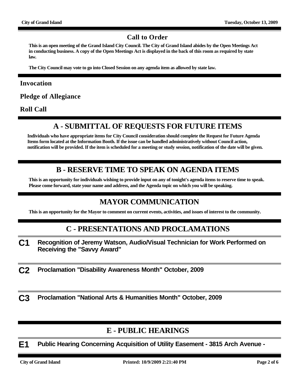#### **Call to Order**

**This is an open meeting of the Grand Island City Council. The City of Grand Island abides by the Open Meetings Act in conducting business. A copy of the Open Meetings Act is displayed in the back of this room as required by state law.**

**The City Council may vote to go into Closed Session on any agenda item as allowed by state law.**

#### **Invocation**

**Pledge of Allegiance**

**Roll Call**

#### **A - SUBMITTAL OF REQUESTS FOR FUTURE ITEMS**

**Individuals who have appropriate items for City Council consideration should complete the Request for Future Agenda Items form located at the Information Booth. If the issue can be handled administratively without Council action, notification will be provided. If the item is scheduled for a meeting or study session, notification of the date will be given.**

#### **B - RESERVE TIME TO SPEAK ON AGENDA ITEMS**

**This is an opportunity for individuals wishing to provide input on any of tonight's agenda items to reserve time to speak. Please come forward, state your name and address, and the Agenda topic on which you will be speaking.**

#### **MAYOR COMMUNICATION**

**This is an opportunity for the Mayor to comment on current events, activities, and issues of interest to the community.**

#### **C - PRESENTATIONS AND PROCLAMATIONS**

- **C1 Recognition of Jeremy Watson, Audio/Visual Technician for Work Performed on Receiving the "Savvy Award"**
- **C2 Proclamation "Disability Awareness Month" October, 2009**

**C3 Proclamation "National Arts & Humanities Month" October, 2009**

#### **E - PUBLIC HEARINGS**

**E1 Public Hearing Concerning Acquisition of Utility Easement - 3815 Arch Avenue -**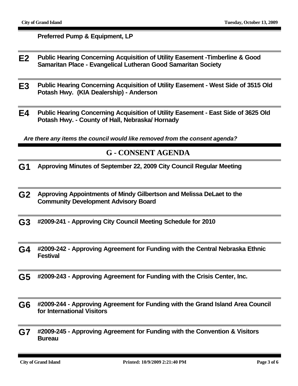**Preferred Pump & Equipment, LP**

- **E2 Public Hearing Concerning Acquisition of Utility Easement -Timberline & Good Samaritan Place - Evangelical Lutheran Good Samaritan Society**
- **E3 Public Hearing Concerning Acquisition of Utility Easement West Side of 3515 Old Potash Hwy. (KIA Dealership) - Anderson**
- **E4 Public Hearing Concerning Acquisition of Utility Easement East Side of 3625 Old Potash Hwy. - County of Hall, Nebraska/ Hornady**

*Are there any items the council would like removed from the consent agenda?*

#### **G - CONSENT AGENDA**

- **G1 Approving Minutes of September 22, 2009 City Council Regular Meeting**
- **G2 Approving Appointments of Mindy Gilbertson and Melissa DeLaet to the Community Development Advisory Board**
- **G3 #2009-241 Approving City Council Meeting Schedule for 2010**
- **G4 #2009-242 Approving Agreement for Funding with the Central Nebraska Ethnic Festival**
- **G5 #2009-243 Approving Agreement for Funding with the Crisis Center, Inc.**
- **G6 #2009-244 Approving Agreement for Funding with the Grand Island Area Council for International Visitors**
- **G7 #2009-245 Approving Agreement for Funding with the Convention & Visitors Bureau**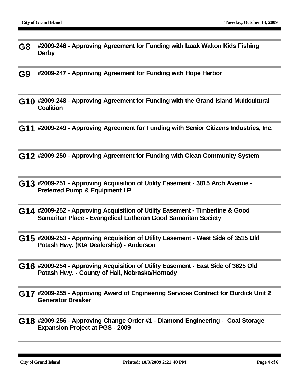- **G8 #2009-246 Approving Agreement for Funding with Izaak Walton Kids Fishing Derby**
- **G9 #2009-247 Approving Agreement for Funding with Hope Harbor**
- **G10 #2009-248 Approving Agreement for Funding with the Grand Island Multicultural Coalition**
- **G11 #2009-249 Approving Agreement for Funding with Senior Citizens Industries, Inc.**
- **G12 #2009-250 Approving Agreement for Funding with Clean Community System**
- **G13 #2009-251 Approving Acquisition of Utility Easement 3815 Arch Avenue Preferred Pump & Equipment LP**
- **G14 #2009-252 Approving Acquisition of Utility Easement Timberline & Good Samaritan Place - Evangelical Lutheran Good Samaritan Society**
- **G15 #2009-253 Approving Acquisition of Utility Easement West Side of 3515 Old Potash Hwy. (KIA Dealership) - Anderson**
- **G16 #2009-254 Approving Acquisition of Utility Easement East Side of 3625 Old Potash Hwy. - County of Hall, Nebraska/Hornady**
- **G17 #2009-255 Approving Award of Engineering Services Contract for Burdick Unit 2 Generator Breaker**
- **G18 #2009-256 Approving Change Order #1 Diamond Engineering Coal Storage Expansion Project at PGS - 2009**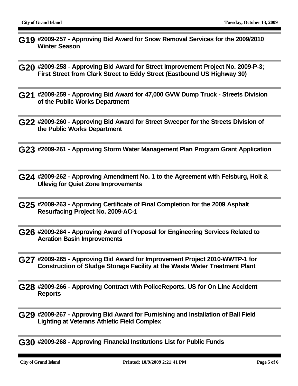- **G19 #2009-257 Approving Bid Award for Snow Removal Services for the 2009/2010 Winter Season**
- **G20 #2009-258 Approving Bid Award for Street Improvement Project No. 2009-P-3; First Street from Clark Street to Eddy Street (Eastbound US Highway 30)**
- **G21 #2009-259 Approving Bid Award for 47,000 GVW Dump Truck Streets Division of the Public Works Department**
- **G22 #2009-260 Approving Bid Award for Street Sweeper for the Streets Division of the Public Works Department**
- **G23 #2009-261 Approving Storm Water Management Plan Program Grant Application**
- **G24 #2009-262 Approving Amendment No. 1 to the Agreement with Felsburg, Holt & Ullevig for Quiet Zone Improvements**
- **G25 #2009-263 Approving Certificate of Final Completion for the 2009 Asphalt Resurfacing Project No. 2009-AC-1**
- **G26 #2009-264 Approving Award of Proposal for Engineering Services Related to Aeration Basin Improvements**
- **G27 #2009-265 Approving Bid Award for Improvement Project 2010-WWTP-1 for Construction of Sludge Storage Facility at the Waste Water Treatment Plant**
- **G28 #2009-266 Approving Contract with PoliceReports. US for On Line Accident Reports**
- **G29 #2009-267 Approving Bid Award for Furnishing and Installation of Ball Field Lighting at Veterans Athletic Field Complex**

**G30 #2009-268 - Approving Financial Institutions List for Public Funds**